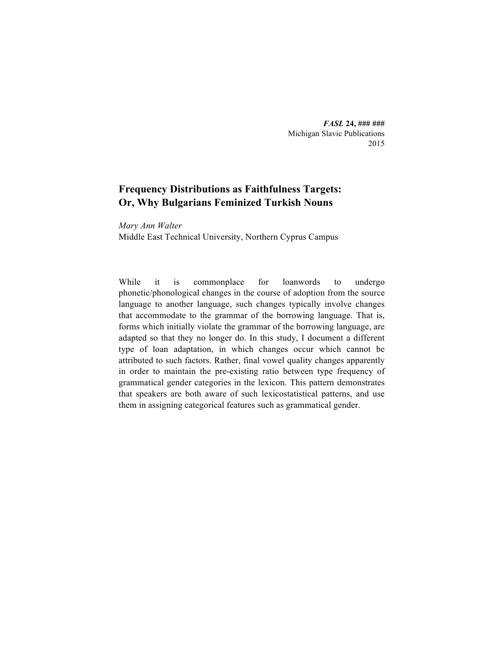*FASL* **24, ### ###** Michigan Slavic Publications 2015

# **Frequency Distributions as Faithfulness Targets: Or, Why Bulgarians Feminized Turkish Nouns**

*Mary Ann Walter* Middle East Technical University, Northern Cyprus Campus

While it is commonplace for loanwords to undergo phonetic/phonological changes in the course of adoption from the source language to another language, such changes typically involve changes that accommodate to the grammar of the borrowing language. That is, forms which initially violate the grammar of the borrowing language, are adapted so that they no longer do. In this study, I document a different type of loan adaptation, in which changes occur which cannot be attributed to such factors. Rather, final vowel quality changes apparently in order to maintain the pre-existing ratio between type frequency of grammatical gender categories in the lexicon. This pattern demonstrates that speakers are both aware of such lexicostatistical patterns, and use them in assigning categorical features such as grammatical gender.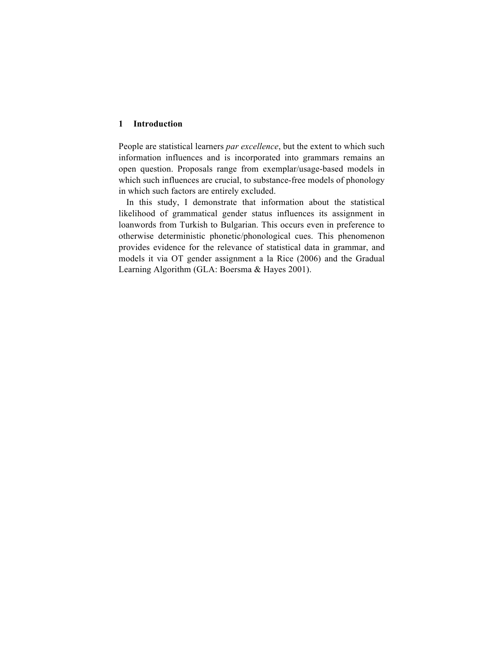#### **1 Introduction**

People are statistical learners *par excellence*, but the extent to which such information influences and is incorporated into grammars remains an open question. Proposals range from exemplar/usage-based models in which such influences are crucial, to substance-free models of phonology in which such factors are entirely excluded.

In this study, I demonstrate that information about the statistical likelihood of grammatical gender status influences its assignment in loanwords from Turkish to Bulgarian. This occurs even in preference to otherwise deterministic phonetic/phonological cues. This phenomenon provides evidence for the relevance of statistical data in grammar, and models it via OT gender assignment a la Rice (2006) and the Gradual Learning Algorithm (GLA: Boersma & Hayes 2001).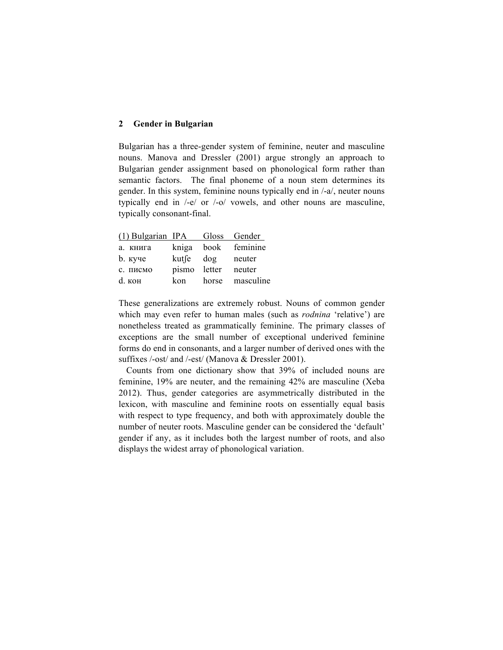### **2 Gender in Bulgarian**

Bulgarian has a three-gender system of feminine, neuter and masculine nouns. Manova and Dressler (2001) argue strongly an approach to Bulgarian gender assignment based on phonological form rather than semantic factors. The final phoneme of a noun stem determines its gender. In this system, feminine nouns typically end in /-a/, neuter nouns typically end in /-e/ or /-o/ vowels, and other nouns are masculine, typically consonant-final.

| $(1)$ Bulgarian IPA |                      | Gloss  | Gender    |
|---------------------|----------------------|--------|-----------|
| а. книга            | kniga                | book   | feminine  |
| <b>b</b> . куче     | $k$ ut $\int e^{-t}$ | dog    | neuter    |
| с. писмо            | pismo                | letter | neuter    |
| d. кон              | kon                  | horse  | masculine |

These generalizations are extremely robust. Nouns of common gender which may even refer to human males (such as *rodnina* 'relative') are nonetheless treated as grammatically feminine. The primary classes of exceptions are the small number of exceptional underived feminine forms do end in consonants, and a larger number of derived ones with the suffixes /-ost/ and /-est/ (Manova & Dressler 2001).

Counts from one dictionary show that 39% of included nouns are feminine, 19% are neuter, and the remaining 42% are masculine (Xeba 2012). Thus, gender categories are asymmetrically distributed in the lexicon, with masculine and feminine roots on essentially equal basis with respect to type frequency, and both with approximately double the number of neuter roots. Masculine gender can be considered the 'default' gender if any, as it includes both the largest number of roots, and also displays the widest array of phonological variation.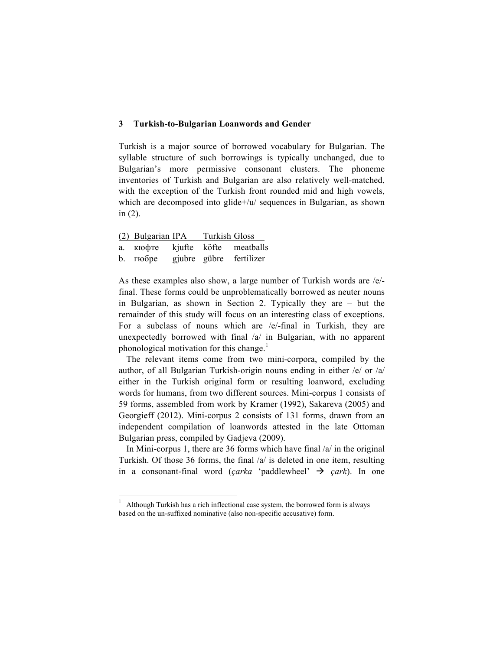## **3 Turkish-to-Bulgarian Loanwords and Gender**

Turkish is a major source of borrowed vocabulary for Bulgarian. The syllable structure of such borrowings is typically unchanged, due to Bulgarian's more permissive consonant clusters. The phoneme inventories of Turkish and Bulgarian are also relatively well-matched, with the exception of the Turkish front rounded mid and high vowels, which are decomposed into glide+/u/ sequences in Bulgarian, as shown in (2).

| (2) Bulgarian IPA Turkish Gloss  |  |                         |
|----------------------------------|--|-------------------------|
| a. KHOOTE kjufte köfte meatballs |  |                         |
| $b.$ $r \omega$                  |  | gjubre gübre fertilizer |

As these examples also show, a large number of Turkish words are /e/ final. These forms could be unproblematically borrowed as neuter nouns in Bulgarian, as shown in Section 2. Typically they are – but the remainder of this study will focus on an interesting class of exceptions. For a subclass of nouns which are /e/-final in Turkish, they are unexpectedly borrowed with final /a/ in Bulgarian, with no apparent phonological motivation for this change.<sup>1</sup>

The relevant items come from two mini-corpora, compiled by the author, of all Bulgarian Turkish-origin nouns ending in either /e/ or /a/ either in the Turkish original form or resulting loanword, excluding words for humans, from two different sources. Mini-corpus 1 consists of 59 forms, assembled from work by Kramer (1992), Sakareva (2005) and Georgieff (2012). Mini-corpus 2 consists of 131 forms, drawn from an independent compilation of loanwords attested in the late Ottoman Bulgarian press, compiled by Gadjeva (2009).

In Mini-corpus 1, there are 36 forms which have final /a/ in the original Turkish. Of those 36 forms, the final /a/ is deleted in one item, resulting in a consonant-final word (*çarka* 'paddlewheel'  $\rightarrow$  *çark*). In one

<u> 1989 - Johann Barn, mars ann an t-Amhain an t-Amhain an t-Amhain an t-Amhain an t-Amhain an t-Amhain an t-Amh</u>

<sup>1</sup> Although Turkish has a rich inflectional case system, the borrowed form is always based on the un-suffixed nominative (also non-specific accusative) form.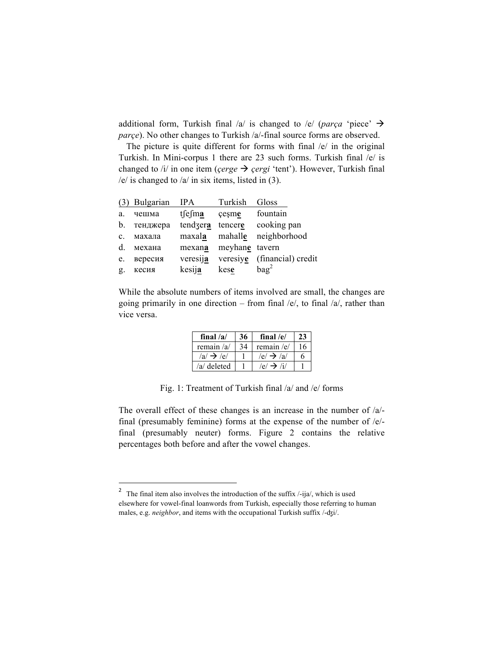additional form, Turkish final /a/ is changed to /e/ (*parça* 'piece'  $\rightarrow$ *parçe*). No other changes to Turkish /a/-final source forms are observed.

The picture is quite different for forms with final  $/e/$  in the original Turkish. In Mini-corpus 1 there are 23 such forms. Turkish final /e/ is changed to  $\pi$  in one item (*çerge*  $\rightarrow$  *çergi* 'tent'). However, Turkish final  $/e$  is changed to  $/a$  in six items, listed in (3).

|                | (3) Bulgarian | <b>IPA</b>       | Turkish                          | Gloss              |
|----------------|---------------|------------------|----------------------------------|--------------------|
| a.             | чешма         | $t\int e\int ma$ | çeşme                            | fountain           |
| $b_{-}$        | тенджера      | tendzera         | tencere                          | cooking pan        |
| $\mathbf{c}$ . | махала        | maxala           | mahalle                          | neighborhood       |
| $d_{\cdot}$    | механа        | mexana           | meyhane tavern                   |                    |
| e.             | вересия       | veresija         | veresiy $\underline{\mathbf{e}}$ | (financial) credit |
| g.             | кесия         | kesija           | kese                             | bag <sup>2</sup>   |

While the absolute numbers of items involved are small, the changes are going primarily in one direction – from final  $/e/$ , to final  $/a/$ , rather than vice versa.

| final $/a/$            | 36 | final $/e/$           | 23 |
|------------------------|----|-----------------------|----|
| remain $/a/$           |    | remain / $e$ /        | 16 |
| $/a$ $\rightarrow$ /e/ |    | $/e/ \rightarrow /a/$ | h  |
| /a/ deleted            |    | $/e/ \rightarrow \pi$ |    |

Fig. 1: Treatment of Turkish final /a/ and /e/ forms

The overall effect of these changes is an increase in the number of /a/ final (presumably feminine) forms at the expense of the number of /e/ final (presumably neuter) forms. Figure 2 contains the relative percentages both before and after the vowel changes.

<u> 1989 - Johann Barn, mars ann an t-Amhain an t-Amhain an t-Amhain an t-Amhain an t-Amhain an t-Amhain an t-Amh</u>

<sup>&</sup>lt;sup>2</sup> The final item also involves the introduction of the suffix  $\ell$ -ija $\ell$ , which is used elsewhere for vowel-final loanwords from Turkish, especially those referring to human males, e.g. *neighbor*, and items with the occupational Turkish suffix /-ʤi/.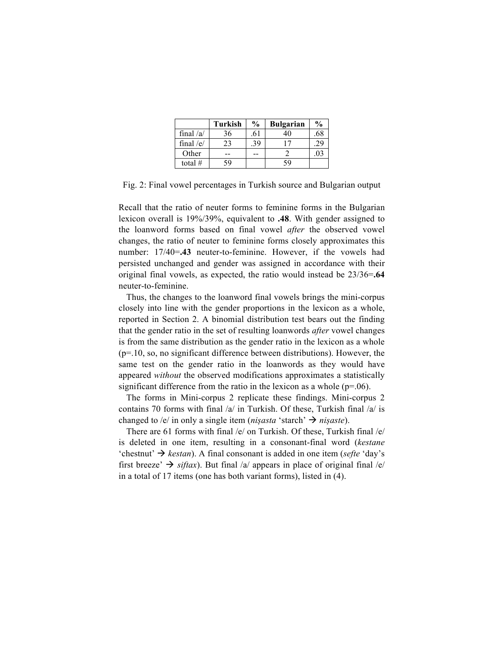|             | <b>Turkish</b> | $\frac{0}{0}$ | <b>Bulgarian</b> | $\frac{0}{0}$ |
|-------------|----------------|---------------|------------------|---------------|
| final $/a/$ | 36             | .61           |                  | .68           |
| final $/e/$ | 23             | 39            |                  | 29            |
| Other       |                |               |                  | U.            |
| total $#$   | 59             |               | 59               |               |

Fig. 2: Final vowel percentages in Turkish source and Bulgarian output

Recall that the ratio of neuter forms to feminine forms in the Bulgarian lexicon overall is 19%/39%, equivalent to **.48**. With gender assigned to the loanword forms based on final vowel *after* the observed vowel changes, the ratio of neuter to feminine forms closely approximates this number: 17/40=**.43** neuter-to-feminine. However, if the vowels had persisted unchanged and gender was assigned in accordance with their original final vowels, as expected, the ratio would instead be 23/36=**.64** neuter-to-feminine.

Thus, the changes to the loanword final vowels brings the mini-corpus closely into line with the gender proportions in the lexicon as a whole, reported in Section 2. A binomial distribution test bears out the finding that the gender ratio in the set of resulting loanwords *after* vowel changes is from the same distribution as the gender ratio in the lexicon as a whole (p=.10, so, no significant difference between distributions). However, the same test on the gender ratio in the loanwords as they would have appeared *without* the observed modifications approximates a statistically significant difference from the ratio in the lexicon as a whole  $(p=06)$ .

The forms in Mini-corpus 2 replicate these findings. Mini-corpus 2 contains 70 forms with final /a/ in Turkish. Of these, Turkish final /a/ is changed to /e/ in only a single item (*nișasta* 'starch'  $\rightarrow$  *nișaste*).

There are 61 forms with final /e/ on Turkish. Of these, Turkish final /e/ is deleted in one item, resulting in a consonant-final word (*kestane* 'chestnut'  $\rightarrow$  *kestan*). A final consonant is added in one item (*sefte* 'day's first breeze'  $\rightarrow$  *siftax*). But final /a/ appears in place of original final /e/ in a total of 17 items (one has both variant forms), listed in (4).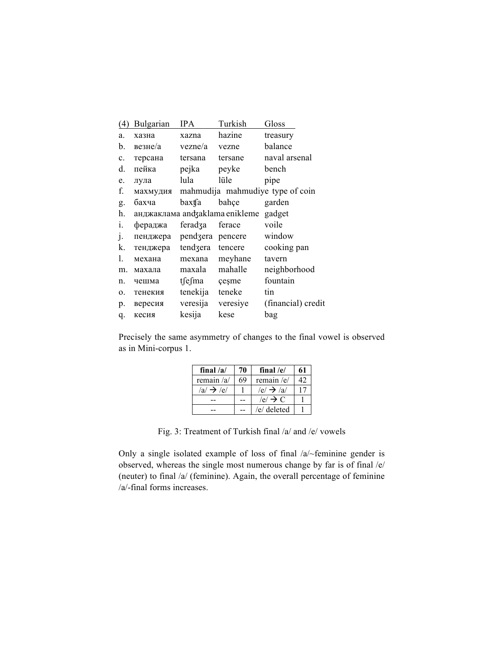| (4)            | <b>Bulgarian</b>               | IPA      | Turkish  | Gloss                            |
|----------------|--------------------------------|----------|----------|----------------------------------|
| a.             | хазна                          | xazna    | hazine   | treasury                         |
| b.             | везне/а                        | vezne/a  | vezne    | balance                          |
| c.             | терсана                        | tersana  | tersane  | naval arsenal                    |
| d.             | пейка                          | pejka    | peyke    | bench                            |
| e.             | лула                           | lula     | lüle     | pipe                             |
| f.             | махмудия                       |          |          | mahmudija mahmudiye type of coin |
| g.             | бахча                          | baxtfa   | bahçe    | garden                           |
| h.             | анджаклама and aklama enikleme |          |          | gadget                           |
| $\mathbf{1}$ . | фераджа                        | feradza  | ferace   | voile                            |
| J.             | пенджера                       | pendzera | pencere  | window                           |
| k.             | тенджера                       | tendzera | tencere  | cooking pan                      |
| 1.             | механа                         | mexana   | meyhane  | tavern                           |
| m.             | махала                         | maxala   | mahalle  | neighborhood                     |
| n.             | чешма                          | tsesma   | çeşme    | fountain                         |
| 0.             | тенекия                        | tenekija | teneke   | tin                              |
| p.             | вересия                        | veresija | veresiye | (financial) credit               |
| q.             | кесия                          | kesija   | kese     | bag                              |

Precisely the same asymmetry of changes to the final vowel is observed as in Mini-corpus 1.

| final $/a/$            | 70 | final $/e/$          |    |
|------------------------|----|----------------------|----|
| remain $/a$            | 69 | remain / $e$ /       | 42 |
| $/a$ $\rightarrow$ /e/ |    | $/e/ \rightarrow/a/$ |    |
|                        |    | $ e  \rightarrow C$  |    |
|                        |    | /e/ deleted          |    |

Fig. 3: Treatment of Turkish final /a/ and /e/ vowels

Only a single isolated example of loss of final /a/~feminine gender is observed, whereas the single most numerous change by far is of final /e/ (neuter) to final /a/ (feminine). Again, the overall percentage of feminine /a/-final forms increases.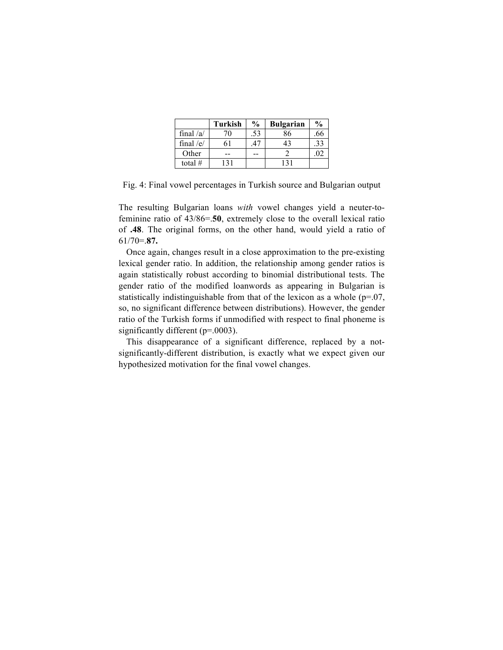|             | <b>Turkish</b> | $\frac{0}{0}$ | <b>Bulgarian</b> | $\frac{0}{0}$ |
|-------------|----------------|---------------|------------------|---------------|
| final $/a/$ | 70             | .53           | 86               | .66           |
| final $/e/$ |                |               | 43               | .33           |
| Other       | --             |               |                  | 02            |
| total #     |                |               | 131              |               |

Fig. 4: Final vowel percentages in Turkish source and Bulgarian output

The resulting Bulgarian loans *with* vowel changes yield a neuter-tofeminine ratio of 43/86=.**50**, extremely close to the overall lexical ratio of **.48**. The original forms, on the other hand, would yield a ratio of 61/70=.**87.**

Once again, changes result in a close approximation to the pre-existing lexical gender ratio. In addition, the relationship among gender ratios is again statistically robust according to binomial distributional tests. The gender ratio of the modified loanwords as appearing in Bulgarian is statistically indistinguishable from that of the lexicon as a whole  $(p=07,$ so, no significant difference between distributions). However, the gender ratio of the Turkish forms if unmodified with respect to final phoneme is significantly different (p=.0003).

This disappearance of a significant difference, replaced by a notsignificantly-different distribution, is exactly what we expect given our hypothesized motivation for the final vowel changes.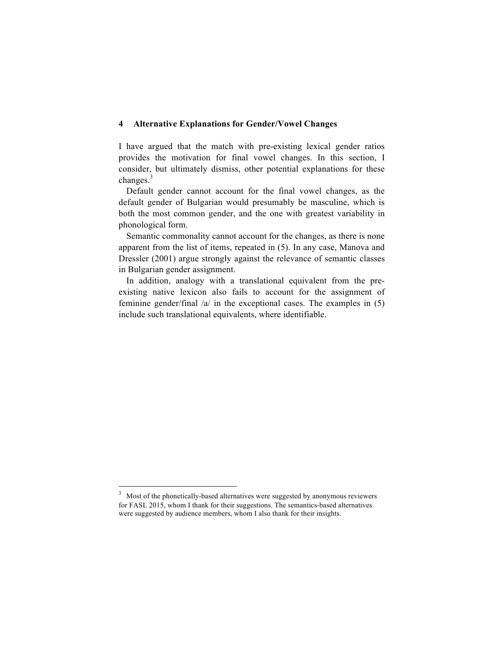### **4 Alternative Explanations for Gender/Vowel Changes**

I have argued that the match with pre-existing lexical gender ratios provides the motivation for final vowel changes. In this section, I consider, but ultimately dismiss, other potential explanations for these changes.<sup>3</sup>

Default gender cannot account for the final vowel changes, as the default gender of Bulgarian would presumably be masculine, which is both the most common gender, and the one with greatest variability in phonological form.

Semantic commonality cannot account for the changes, as there is none apparent from the list of items, repeated in (5). In any case, Manova and Dressler (2001) argue strongly against the relevance of semantic classes in Bulgarian gender assignment.

In addition, analogy with a translational equivalent from the preexisting native lexicon also fails to account for the assignment of feminine gender/final /a/ in the exceptional cases. The examples in (5) include such translational equivalents, where identifiable.

 

<sup>&</sup>lt;sup>3</sup> Most of the phonetically-based alternatives were suggested by anonymous reviewers for FASL 2015, whom I thank for their suggestions. The semantics-based alternatives were suggested by audience members, whom I also thank for their insights.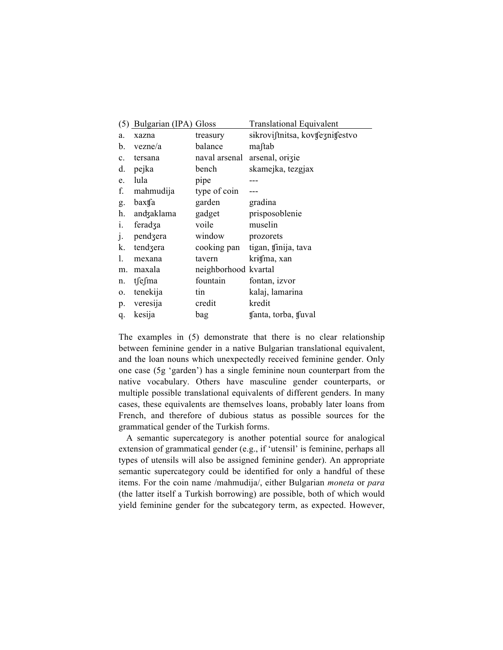|                | (5) Bulgarian (IPA) Gloss |                      | <b>Translational Equivalent</b>  |
|----------------|---------------------------|----------------------|----------------------------------|
| a.             | xazna                     | treasury             | sikroviftnitsa, kovtfeznitfestvo |
| b.             | vezne/a                   | balance              | maftab                           |
| c.             | tersana                   | naval arsenal        | arsenal, orizie                  |
| d.             | pejka                     | bench                | skamejka, tezgjax                |
| e.             | lula                      | pipe                 |                                  |
| f.             | mahmudija                 | type of coin         |                                  |
| g.             | baxtfa                    | garden               | gradina                          |
| h.             | andzaklama                | gadget               | prisposoblenie                   |
| $\mathbf{1}$ . | feradza                   | voile                | muselin                          |
| J <sub>1</sub> | pendzera                  | window               | prozorets                        |
| k.             | tendzera                  |                      | cooking pan tigan, tinija, tava  |
| 1.             | mexana                    | tavern               | kritfma, xan                     |
| m.             | maxala                    | neighborhood kvartal |                                  |
| n.             | tfefma                    | fountain             | fontan, izvor                    |
| 0.             | tenekija                  | tin                  | kalaj, lamarina                  |
| p.             | veresija                  | credit               | kredit                           |
| q.             | kesija                    | bag                  | tfanta, torba, tfuval            |

The examples in (5) demonstrate that there is no clear relationship between feminine gender in a native Bulgarian translational equivalent, and the loan nouns which unexpectedly received feminine gender. Only one case (5g 'garden') has a single feminine noun counterpart from the native vocabulary. Others have masculine gender counterparts, or multiple possible translational equivalents of different genders. In many cases, these equivalents are themselves loans, probably later loans from French, and therefore of dubious status as possible sources for the grammatical gender of the Turkish forms.

A semantic supercategory is another potential source for analogical extension of grammatical gender (e.g., if 'utensil' is feminine, perhaps all types of utensils will also be assigned feminine gender). An appropriate semantic supercategory could be identified for only a handful of these items. For the coin name /mahmudija/, either Bulgarian *moneta* or *para* (the latter itself a Turkish borrowing) are possible, both of which would yield feminine gender for the subcategory term, as expected. However,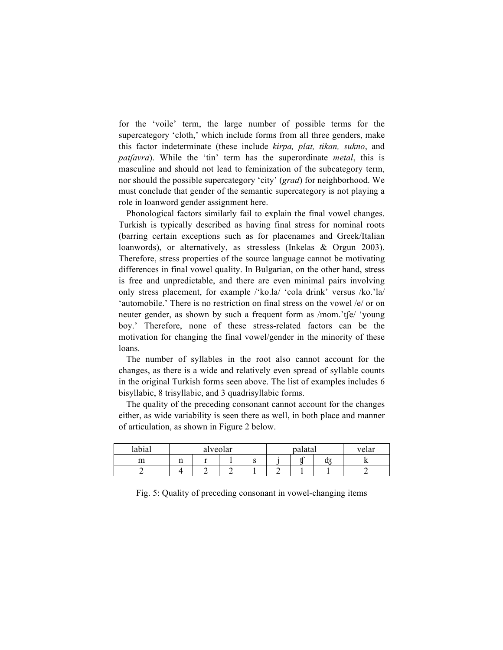for the 'voile' term, the large number of possible terms for the supercategory 'cloth,' which include forms from all three genders, make this factor indeterminate (these include *kɨrpa, plat, tɨkan, sukno*, and *patʃavra*). While the 'tin' term has the superordinate *metal*, this is masculine and should not lead to feminization of the subcategory term, nor should the possible supercategory 'city' (*grad*) for neighborhood. We must conclude that gender of the semantic supercategory is not playing a role in loanword gender assignment here.

Phonological factors similarly fail to explain the final vowel changes. Turkish is typically described as having final stress for nominal roots (barring certain exceptions such as for placenames and Greek/Italian loanwords), or alternatively, as stressless (Inkelas & Orgun 2003). Therefore, stress properties of the source language cannot be motivating differences in final vowel quality. In Bulgarian, on the other hand, stress is free and unpredictable, and there are even minimal pairs involving only stress placement, for example /'ko.la/ 'cola drink' versus /ko.'la/ 'automobile.' There is no restriction on final stress on the vowel /e/ or on neuter gender, as shown by such a frequent form as /mom.'tʃe/ 'young boy.' Therefore, none of these stress-related factors can be the motivation for changing the final vowel/gender in the minority of these loans.

The number of syllables in the root also cannot account for the changes, as there is a wide and relatively even spread of syllable counts in the original Turkish forms seen above. The list of examples includes 6 bisyllabic, 8 trisyllabic, and 3 quadrisyllabic forms.

The quality of the preceding consonant cannot account for the changes either, as wide variability is seen there as well, in both place and manner of articulation, as shown in Figure 2 below.

| labial |    | alveolar |   | palatal | velar |
|--------|----|----------|---|---------|-------|
| m<br>  | 11 |          | ີ |         |       |
|        |    |          |   |         |       |

Fig. 5: Quality of preceding consonant in vowel-changing items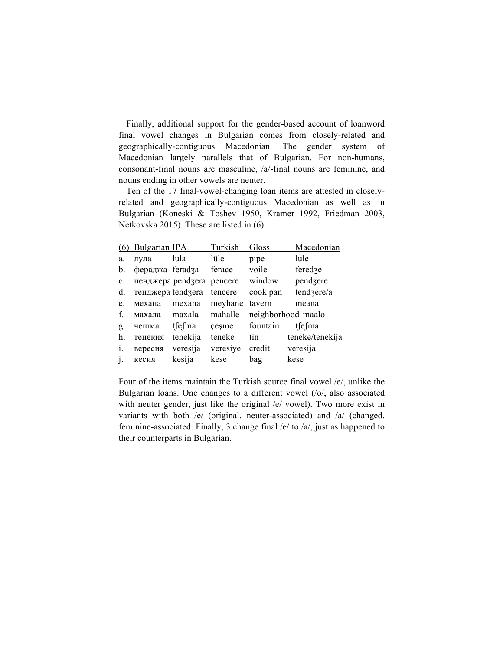Finally, additional support for the gender-based account of loanword final vowel changes in Bulgarian comes from closely-related and geographically-contiguous Macedonian. The gender system of Macedonian largely parallels that of Bulgarian. For non-humans, consonant-final nouns are masculine, /a/-final nouns are feminine, and nouns ending in other vowels are neuter.

Ten of the 17 final-vowel-changing loan items are attested in closelyrelated and geographically-contiguous Macedonian as well as in Bulgarian (Koneski & Toshev 1950, Kramer 1992, Friedman 2003, Netkovska 2015). These are listed in (6).

| (6)            | Bulgarian IPA     |              | Turkish  | Gloss    | Macedonian         |
|----------------|-------------------|--------------|----------|----------|--------------------|
| a.             | лула              | lula         | lüle     | pipe     | lule               |
| b.             | фераджа feradza   |              | ferace   | voile    | feredze            |
| $\mathbf{c}$ . | пенджера pendzera |              | pencere  | window   | pendzere           |
| d.             | тенджера tendzera |              | tencere  | cook pan | tendzere/a         |
| e.             | механа            | mexana       | meyhane  | tavern   | meana              |
| f.             | махала            | maxala       | mahalle  |          | neighborhood maalo |
| g.             | чешма             | $t\int e$ ma | cesme    | fountain | tsesma             |
| h.             | тенекия           | tenekija     | teneke   | tin      | teneke/tenekija    |
| i.             | вересия           | veresija     | veresiye | credit   | veresija           |
| j.             | кесия             | kesija       | kese     | bag      | kese               |

Four of the items maintain the Turkish source final vowel /e/, unlike the Bulgarian loans. One changes to a different vowel (/o/, also associated with neuter gender, just like the original /e/ vowel). Two more exist in variants with both /e/ (original, neuter-associated) and /a/ (changed, feminine-associated. Finally, 3 change final /e/ to /a/, just as happened to their counterparts in Bulgarian.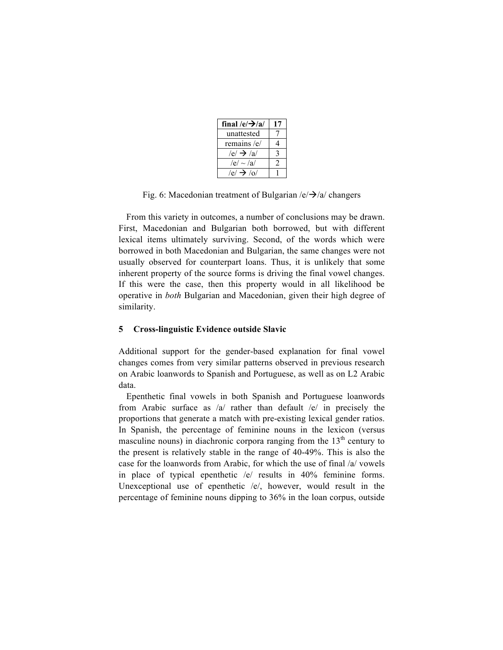| final /e/ $\rightarrow$ /a/ | 17 |
|-----------------------------|----|
| unattested                  |    |
| remains / $e$ /             |    |
| $/e/ \rightarrow /a/$       |    |
| $/e/ \sim/a/$               |    |
| $/e/\rightarrow$ /0/        |    |

Fig. 6: Macedonian treatment of Bulgarian  $/e\rightarrow a/c$  changers

From this variety in outcomes, a number of conclusions may be drawn. First, Macedonian and Bulgarian both borrowed, but with different lexical items ultimately surviving. Second, of the words which were borrowed in both Macedonian and Bulgarian, the same changes were not usually observed for counterpart loans. Thus, it is unlikely that some inherent property of the source forms is driving the final vowel changes. If this were the case, then this property would in all likelihood be operative in *both* Bulgarian and Macedonian, given their high degree of similarity.

# **5 Cross-linguistic Evidence outside Slavic**

Additional support for the gender-based explanation for final vowel changes comes from very similar patterns observed in previous research on Arabic loanwords to Spanish and Portuguese, as well as on L2 Arabic data.

Epenthetic final vowels in both Spanish and Portuguese loanwords from Arabic surface as /a/ rather than default /e/ in precisely the proportions that generate a match with pre-existing lexical gender ratios. In Spanish, the percentage of feminine nouns in the lexicon (versus masculine nouns) in diachronic corpora ranging from the  $13<sup>th</sup>$  century to the present is relatively stable in the range of 40-49%. This is also the case for the loanwords from Arabic, for which the use of final /a/ vowels in place of typical epenthetic /e/ results in 40% feminine forms. Unexceptional use of epenthetic  $/e$ , however, would result in the percentage of feminine nouns dipping to 36% in the loan corpus, outside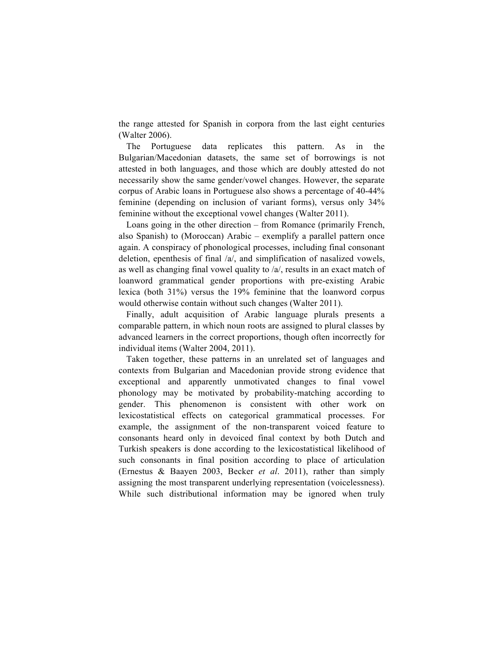the range attested for Spanish in corpora from the last eight centuries (Walter 2006).

The Portuguese data replicates this pattern. As in the Bulgarian/Macedonian datasets, the same set of borrowings is not attested in both languages, and those which are doubly attested do not necessarily show the same gender/vowel changes. However, the separate corpus of Arabic loans in Portuguese also shows a percentage of 40-44% feminine (depending on inclusion of variant forms), versus only 34% feminine without the exceptional vowel changes (Walter 2011).

Loans going in the other direction – from Romance (primarily French, also Spanish) to (Moroccan) Arabic – exemplify a parallel pattern once again. A conspiracy of phonological processes, including final consonant deletion, epenthesis of final /a/, and simplification of nasalized vowels, as well as changing final vowel quality to /a/, results in an exact match of loanword grammatical gender proportions with pre-existing Arabic lexica (both 31%) versus the 19% feminine that the loanword corpus would otherwise contain without such changes (Walter 2011).

Finally, adult acquisition of Arabic language plurals presents a comparable pattern, in which noun roots are assigned to plural classes by advanced learners in the correct proportions, though often incorrectly for individual items (Walter 2004, 2011).

Taken together, these patterns in an unrelated set of languages and contexts from Bulgarian and Macedonian provide strong evidence that exceptional and apparently unmotivated changes to final vowel phonology may be motivated by probability-matching according to gender. This phenomenon is consistent with other work on lexicostatistical effects on categorical grammatical processes. For example, the assignment of the non-transparent voiced feature to consonants heard only in devoiced final context by both Dutch and Turkish speakers is done according to the lexicostatistical likelihood of such consonants in final position according to place of articulation (Ernestus & Baayen 2003, Becker *et al*. 2011), rather than simply assigning the most transparent underlying representation (voicelessness). While such distributional information may be ignored when truly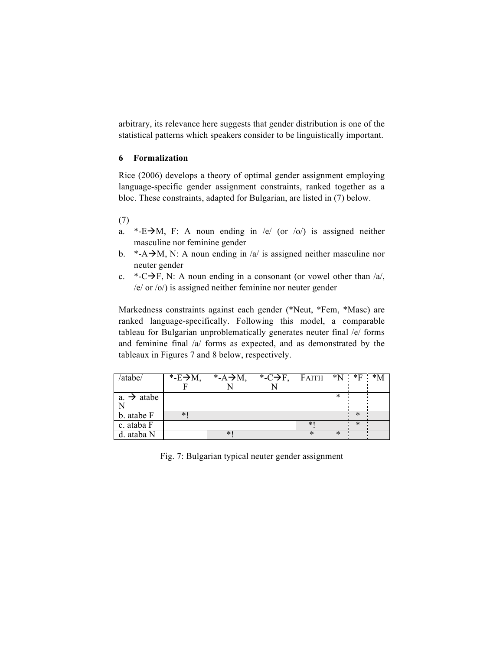arbitrary, its relevance here suggests that gender distribution is one of the statistical patterns which speakers consider to be linguistically important.

## **6 Formalization**

Rice (2006) develops a theory of optimal gender assignment employing language-specific gender assignment constraints, ranked together as a bloc. These constraints, adapted for Bulgarian, are listed in (7) below.

(7)

- a. \*-E $\rightarrow$ M, F: A noun ending in /e/ (or /o/) is assigned neither masculine nor feminine gender
- b. \*-A $\rightarrow$ M, N: A noun ending in /a/ is assigned neither masculine nor neuter gender
- c. \*-C $\rightarrow$ F, N: A noun ending in a consonant (or vowel other than /a/, /e/ or /o/) is assigned neither feminine nor neuter gender

Markedness constraints against each gender (\*Neut, \*Fem, \*Masc) are ranked language-specifically. Following this model, a comparable tableau for Bulgarian unproblematically generates neuter final /e/ forms and feminine final /a/ forms as expected, and as demonstrated by the tableaux in Figures 7 and 8 below, respectively.

| /atabe/                 | *- $E \rightarrow M$ , | *- $A \rightarrow M$ , | *-C $\rightarrow$ F, FAITH *N *F *M |        |        |   |  |
|-------------------------|------------------------|------------------------|-------------------------------------|--------|--------|---|--|
|                         |                        |                        |                                     |        |        |   |  |
| $a. \rightarrow a$ tabe |                        |                        |                                     |        | ∗      |   |  |
|                         |                        |                        |                                     |        |        |   |  |
| b. atabe F              | $\ast$                 |                        |                                     |        |        | ∗ |  |
| c. ataba F              |                        |                        |                                     | $\ast$ |        | ∗ |  |
| d. ataba N              |                        | $*$                    |                                     | ∗      | $\ast$ |   |  |

Fig. 7: Bulgarian typical neuter gender assignment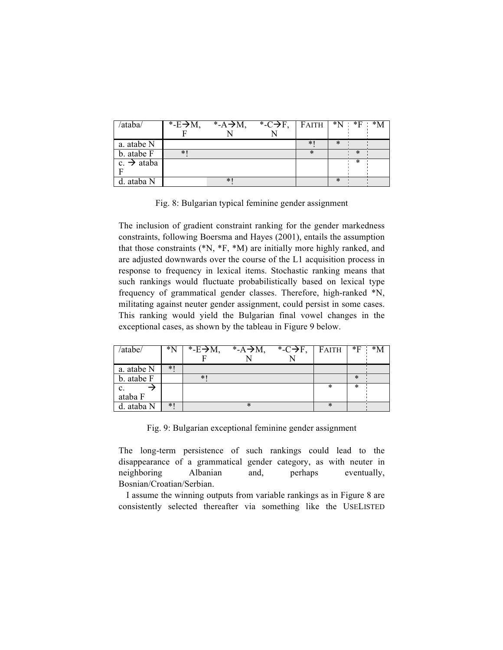| /ataba/                | *- $E \rightarrow M$ , | *- $A \rightarrow M$ , | *-C $\rightarrow$ F, FAITH *N *F *M |     |        |        |  |
|------------------------|------------------------|------------------------|-------------------------------------|-----|--------|--------|--|
|                        |                        |                        |                                     |     |        |        |  |
| a. atabe N             |                        |                        |                                     | $*$ | $\ast$ |        |  |
| b. atabe F             | $*$                    |                        |                                     | ∗   |        | $\ast$ |  |
| c. $\rightarrow$ ataba |                        |                        |                                     |     |        | ∗      |  |
|                        |                        |                        |                                     |     |        |        |  |
| d. ataba N             |                        | $\ast$                 |                                     |     | $\ast$ |        |  |

Fig. 8: Bulgarian typical feminine gender assignment

The inclusion of gradient constraint ranking for the gender markedness constraints, following Boersma and Hayes (2001), entails the assumption that those constraints (\*N, \*F, \*M) are initially more highly ranked, and are adjusted downwards over the course of the L1 acquisition process in response to frequency in lexical items. Stochastic ranking means that such rankings would fluctuate probabilistically based on lexical type frequency of grammatical gender classes. Therefore, high-ranked \*N, militating against neuter gender assignment, could persist in some cases. This ranking would yield the Bulgarian final vowel changes in the exceptional cases, as shown by the tableau in Figure 9 below.

| /atabe/        | $^*N$ | $\overline{E}$ -E $\rightarrow$ M, | *- $A \rightarrow M$ , | *-C $\rightarrow$ F, | FAITH  | $*$ F  | $*_{\mathsf{M}}$ |
|----------------|-------|------------------------------------|------------------------|----------------------|--------|--------|------------------|
|                |       |                                    |                        |                      |        |        |                  |
| a. atabe N     | $*1$  |                                    |                        |                      |        |        |                  |
| b. atabe F     |       | *                                  |                        |                      |        | $\ast$ |                  |
| $\mathbf{c}$ . |       |                                    |                        |                      | $\ast$ | ∗      |                  |
| ataba F        |       |                                    |                        |                      |        |        |                  |
| d. ataba N     | $*1$  |                                    | $\ast$                 |                      | $\ast$ |        |                  |

Fig. 9: Bulgarian exceptional feminine gender assignment

The long-term persistence of such rankings could lead to the disappearance of a grammatical gender category, as with neuter in neighboring Albanian and, perhaps eventually, Bosnian/Croatian/Serbian.

I assume the winning outputs from variable rankings as in Figure 8 are consistently selected thereafter via something like the USELISTED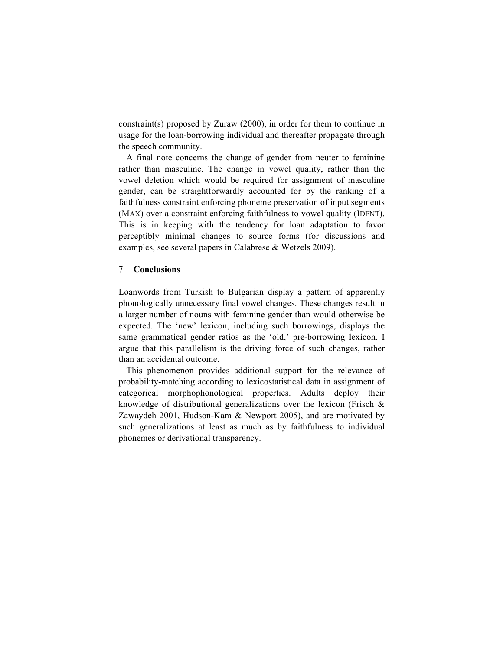constraint(s) proposed by Zuraw (2000), in order for them to continue in usage for the loan-borrowing individual and thereafter propagate through the speech community.

A final note concerns the change of gender from neuter to feminine rather than masculine. The change in vowel quality, rather than the vowel deletion which would be required for assignment of masculine gender, can be straightforwardly accounted for by the ranking of a faithfulness constraint enforcing phoneme preservation of input segments (MAX) over a constraint enforcing faithfulness to vowel quality (IDENT). This is in keeping with the tendency for loan adaptation to favor perceptibly minimal changes to source forms (for discussions and examples, see several papers in Calabrese & Wetzels 2009).

#### 7 **Conclusions**

Loanwords from Turkish to Bulgarian display a pattern of apparently phonologically unnecessary final vowel changes. These changes result in a larger number of nouns with feminine gender than would otherwise be expected. The 'new' lexicon, including such borrowings, displays the same grammatical gender ratios as the 'old,' pre-borrowing lexicon. I argue that this parallelism is the driving force of such changes, rather than an accidental outcome.

This phenomenon provides additional support for the relevance of probability-matching according to lexicostatistical data in assignment of categorical morphophonological properties. Adults deploy their knowledge of distributional generalizations over the lexicon (Frisch & Zawaydeh 2001, Hudson-Kam & Newport 2005), and are motivated by such generalizations at least as much as by faithfulness to individual phonemes or derivational transparency.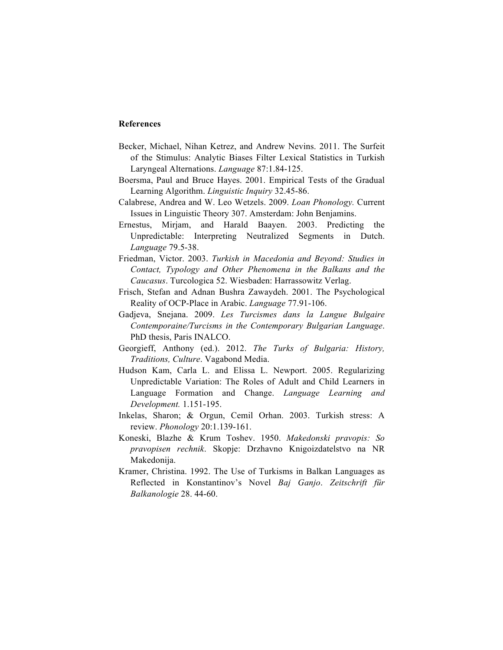# **References**

- Becker, Michael, Nihan Ketrez, and Andrew Nevins. 2011. The Surfeit of the Stimulus: Analytic Biases Filter Lexical Statistics in Turkish Laryngeal Alternations. *Language* 87:1.84-125.
- Boersma, Paul and Bruce Hayes. 2001. Empirical Tests of the Gradual Learning Algorithm. *Linguistic Inquiry* 32.45-86.
- Calabrese, Andrea and W. Leo Wetzels. 2009. *Loan Phonology.* Current Issues in Linguistic Theory 307. Amsterdam: John Benjamins.
- Ernestus, Mirjam, and Harald Baayen. 2003. Predicting the Unpredictable: Interpreting Neutralized Segments in Dutch. *Language* 79.5-38.
- Friedman, Victor. 2003. *Turkish in Macedonia and Beyond: Studies in Contact, Typology and Other Phenomena in the Balkans and the Caucasus*. Turcologica 52. Wiesbaden: Harrassowitz Verlag.
- Frisch, Stefan and Adnan Bushra Zawaydeh. 2001. The Psychological Reality of OCP-Place in Arabic. *Language* 77.91-106.
- Gadjeva, Snejana. 2009. *Les Turcismes dans la Langue Bulgaire Contemporaine/Turcisms in the Contemporary Bulgarian Language*. PhD thesis, Paris INALCO.
- Georgieff, Anthony (ed.). 2012. *The Turks of Bulgaria: History, Traditions, Culture*. Vagabond Media.
- Hudson Kam, Carla L. and Elissa L. Newport. 2005. Regularizing Unpredictable Variation: The Roles of Adult and Child Learners in Language Formation and Change. *Language Learning and Development.* 1.151-195.
- Inkelas, Sharon; & Orgun, Cemil Orhan. 2003. Turkish stress: A review. *Phonology* 20:1.139-161.
- Koneski, Blazhe & Krum Toshev. 1950. *Makedonski pravopis: So pravopisen rechnik*. Skopje: Drzhavno Knigoizdatelstvo na NR Makedonija.
- Kramer, Christina. 1992. The Use of Turkisms in Balkan Languages as Reflected in Konstantinov's Novel *Baj Ganjo*. *Zeitschrift für Balkanologie* 28. 44-60.